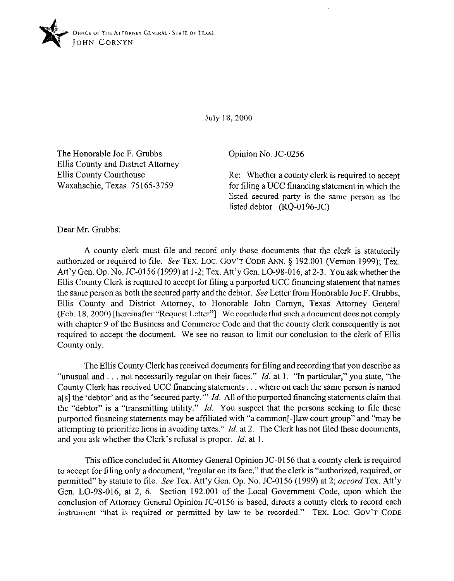

July 18, 2000

The Honorable Joe F. Grubbs Ellis County and District Attorney Ellis County Courthouse Waxahachie, Texas 75165-3759

Opinion No. JC-0256

Re: Whether a county clerk is required to accept for tiling a UCC financing statement in which the listed secured party is the same person as the listed debtor (RQ-0196-JC)

Dear Mr. Grubbs:

A county clerk must tile and record only those documents that the clerk is statutorily authorized or required to file. See TEX. LOC. GOV'T CODE ANN. § 192.001 (Vernon 1999); Tex. Att'y Gen. Op. No. JC-0156 (1999) at 1-2; Tex. Att'y Gen. LO-98-016, at 2-3. Youask whether the Ellis County Clerk is required to accept for filing a purported UCC financing statement that names the same person as both the secured party and the debtor. See Letter from Honorable Joe F. Grubbs, Ellis County and District Attorney, to Honorable John Comyn, Texas Attorney General (Feb. 18, 2000) [hereinafter "Request Letter"]. We conclude that such a document does not comply with chapter 9 of the Business and Commerce Code and that the county clerk consequently is not required to accept the document. We see no reason to limit our conclusion to the clerk of Ellis County only.

The Ellis County Clerk has received documents for filing and recording that you describe as "unusual and . . . not necessarily regular on their faces." *Id.* at 1. "In particular," you state, "the County Clerk has received UCC financing statements . . . where on each the same person is named a[s] the 'debtor' and as the 'secured party."' *Id.* All ofthe purported financing statements claim that the "debtor" is a "transmitting utility." *Id.* You suspect that the persons seeking to tile these purported financing statements may be affiliated with "a common[-]law court group" and "may be attempting to prioritize liens in avoiding taxes." *Id.* at 2. The Clerk has not tiled these documents, and you ask whether the Clerk's refusal is proper. *Id.* at 1.

This office concluded in Attorney General Opinion JC-0156 that a county clerk is required to accept for filing only a document, "regular on its face," that the clerk is "authorized, required, or permitted" by statute to file. See Tex. Att'y Gen. Op. No. JC-0156 (1999) at 2; *accord* Tex. Att'y Gen. LO-9X-016, at 2, 6. Section 192.001 of the Local Government Code, upon which the conclusion of Attorney General Opinion JC-0156 is based, directs a county clerk to record each instrument "that is required or permitted by law to be recorded." **TEX. LOC. GOV'T CODE**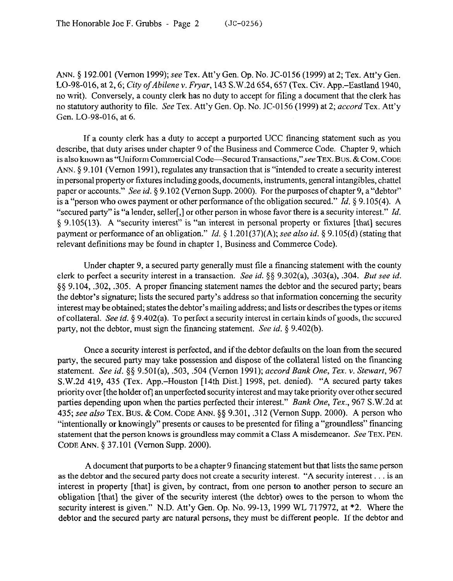ANN. 5 192.001 (Vernon 1999); see Tex. Att'y Gen. Op. No. JC-0156 (1999) at 2; Tex. Att'y Gen. LO-98-016, at 2,6; *City* ofAbilene v. *Fryar,* 143 S.W.2d 654,657 (Tex. Civ. App.-Eastland 1940, no writ). Conversely, a county clerk has no duty to accept for tiling a document that the clerk has no statutory authority to file. See Tex. Att'y Gen. Op. No. JC-0156 (1999) at 2; *accord* Tex. Att'y Gen. LO-98-016, at 6.

If a county clerk has a duty to accept a purported UCC financing statement such as you describe, that duty arises under chapter 9 of the Business and Commerce Code. Chapter 9, which is also known as "Uniform Commercial Code-Secured Transactions,"see **TEX.** Bus. & **COM. CODE**  ANN. 5 9.101 (Vernon 1991), regulates any transaction that is "intended to create a security interest in personal property or fixtures including goods, documents, instruments, general intangibles, chattel paper or accounts." See id. § 9.102 (Vernon Supp. 2000). For the purposes of chapter 9, a "debtor" is a "person who owes payment or other performance of the obligation secured." *Id. 5 9.105(4).* A "secured party" is "a lender, seller[,] or other person in whose favor there is a security interest." *Id.*  5 9.105(13). A "security interest" is "an interest in personal property or fixtures [that] secures payment or performance of an obligation." *Id. §* 1,201(37)(A); see also *id.* \$ 9.105(d) (stating that relevant definitions may be found in chapter 1, Business and Commerce Code).

Under chapter 9, a secured party generally must file a financing statement with the county clerk to perfect a security interest in a transaction. See *id. \$3* 9.302(a), .303(a), ,304. But see *id.*  §§ 9.104, .302, .305. A proper financing statement names the debtor and the secured party; bears the debtor's signature; lists the secured party's address so that information concerning the security interest may be obtained; states the debtor's mailing address; and lists or describes the types or items of collateral. See *id.* 5 9.402(a). To perfect a security interest in certain kinds of goods, the secured party, not the debtor, must sign the financing statement. See *id. 5* 9.402(b).

Once a security interest is perfected, and if the debtor defaults on the loan from the secured party, the secured party may take possession and dispose of the collateral listed on the financing statement. See *id.* \$5 9.501(a), ,503, ,504 (Vernon 1991); *accord Bunk One, Tex. Y. Stewart, 967*  S.W.2d 419, 435 (Tex. App.-Houston [14th Dist.] 1998, pet. denied). "A secured patty takes priority over [the holder ofl an unperfected security interest and may take priority over other secured parties depending upon when the parties perfected their interest." *Bank One, Tex.*, 967 S.W.2d at 435; see also **TEX.** Bus. & **COM. CODE ANN.** \$3 9.301, ,312 (Vernon Supp. 2000). A person who "intentionally or knowingly" presents or causes to be presented for filing a "groundless" financing statement that the person knows is groundless may commit a Class A misdemeanor. See **TEX. PEN. CODE** ANN. 5 37.101 (Vernon Supp. 2000).

A document that purports to be a chapter 9 financing statement but that lists the same person as the debtor and the secured party does not create a security interest. "A security interest . . . is an interest in property [that] is given, by contract, from one person to another person to secure an obligation [that] the giver of the security interest (the debtor) owes to the person to whom the security interest is given." N.D. Att'y Gen. Op. No. 99-13, 1999 WL 717972, at \*2. Where the debtor and the secured party are natural persons, they must be different people. If the debtor and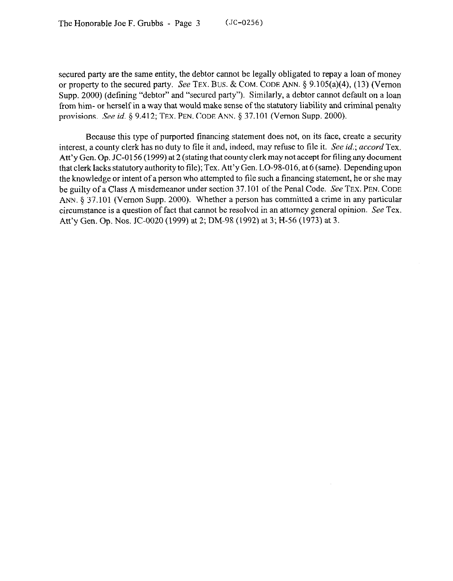secured party are the same entity, the debtor cannot be legally obligated to repay a loan of money or property to the secured party. See **TEX. BUS.** & **COM. CODE** ANN. 5 9.105(a)(4), (13) (Vernon Supp. 2000) (defining "debtor" and "secured party"). Similarly, a debtor cannot default on a loan from him- or herself in a way that would make sense of the statutory liability and criminal penalty provisions. See *id.* 5 9.412; **TEX. PEN. CODE ANN.** 5 37.101 (Vernon Supp. 2000).

Because this type of purported financing statement does not, on its face, create a security interest, a county clerk has no duty to file it and, indeed, may refuse to file it. See *id.; accord* Tex. Att'y Gen. Op. JC-0156 (1999) at 2 (stating that county clerk may not accept for tiling any document that clerk lacks statutory authority to file); Tex. Att'y Gen. LO-98-016, at 6 (same). Depending upon the knowledge or intent of a person who attempted to file such a financing statement, he or she may be guilty of a Class A misdemeanor under section 37.101 of the Penal Code. See **TEX. PEN. CODE ANN.** 5 37.101 (Vernon Supp. 2000). Whether a person has committed a crime in any particular circumstance is a question of fact that cannot be resolved in an attorney general opinion. See Tex. Att'y Gen. Op. Nos. JC-0020 (1999) at 2; DM-98 (1992) at 3; H-56 (1973) at 3.